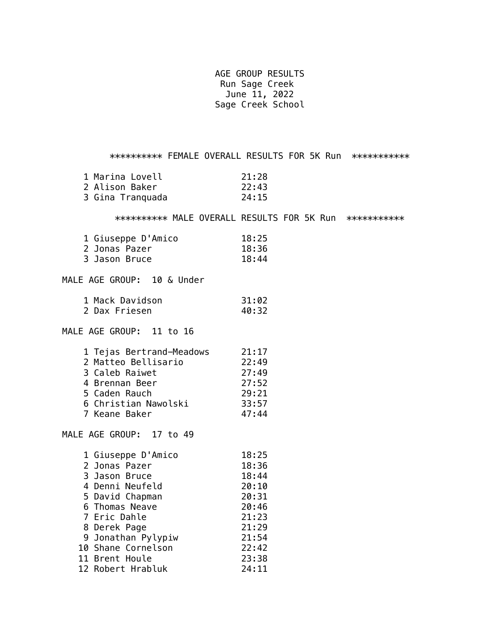AGE GROUP RESULTS Run Sage Creek June 11, 2022 Sage Creek School

\*\*\*\*\*\*\*\*\*\*\* FEMALE OVERALL RESULTS FOR 5K Run \*\*\*\*\*\*\*\*\*\*\*\* 1 Marina Lovell 21:28 2 Alison Baker 22:43 3 Gina Tranquada 24:15 \*\*\*\*\*\*\*\*\*\* MALE OVERALL RESULTS FOR 5K Run \*\*\*\*\*\*\*\*\*\*\* 1 Giuseppe D'Amico 18:25 2 Jonas Pazer 18:36 3 Jason Bruce 18:44 MALE AGE GROUP: 10 & Under 1 Mack Davidson 31:02 2 Dax Friesen 40:32 MALE AGE GROUP: 11 to 16 1 Tejas Bertrand-Meadows 21:17 2 Matteo Bellisario 22:49 3 Caleb Raiwet 27:49 4 Brennan Beer 27:52 5 Caden Rauch 29:21 6 Christian Nawolski 33:57 7 Keane Baker 47:44 MALE AGE GROUP: 17 to 49 1 Giuseppe D'Amico 18:25 2 Jonas Pazer 18:36 3 Jason Bruce 18:44 4 Denni Neufeld 20:10 5 David Chapman 20:31 6 Thomas Neave 20:46 7 Eric Dahle 21:23 8 Derek Page 21:29 9 Jonathan Pylypiw 21:54 10 Shane Cornelson 22:42 11 Brent Houle 23:38 12 Robert Hrabluk 24:11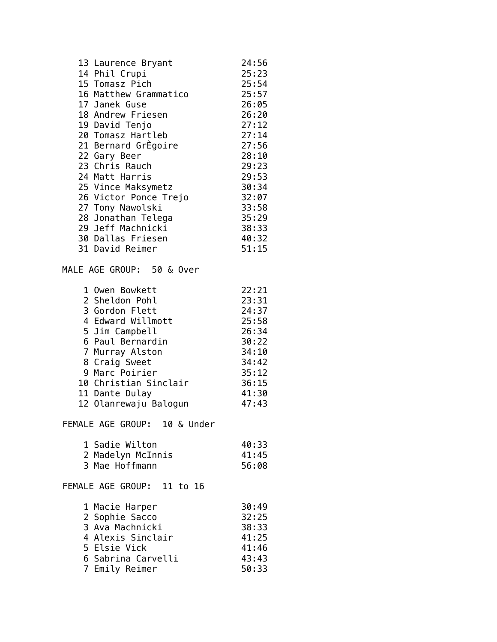| 13 Laurence Bryant        | 24:56 |
|---------------------------|-------|
| 14 Phil Crupi             | 25:23 |
| 15 Tomasz Pich            | 25:54 |
| 16 Matthew Grammatico     | 25:57 |
| 17 Janek Guse             | 26:05 |
| 18 Andrew Friesen         | 26:20 |
| 19 David Tenjo            | 27:12 |
| 20 Tomasz Hartleb         | 27:14 |
| 21 Bernard GrEgoire       | 27:56 |
| 22 Gary Beer              | 28:10 |
| 23 Chris Rauch            | 29:23 |
| 24 Matt Harris            | 29:53 |
| 25 Vince Maksymetz        | 30:34 |
| 26 Victor Ponce Trejo     | 32:07 |
| 27 Tony Nawolski          | 33:58 |
| 28 Jonathan Telega        | 35:29 |
| 29 Jeff Machnicki         | 38:33 |
| 30 Dallas Friesen         | 40:32 |
| 31 David Reimer           | 51:15 |
|                           |       |
| MALE AGE GROUP: 50 & Over |       |
| 1 Owen Bowkett            | 22:21 |
| 2 Sheldon Pohl            | 23:31 |
| 3 Gordon Flett            | 24:37 |
|                           |       |

| 4 Edward Willmott     | 25:58 |
|-----------------------|-------|
| 5 Jim Campbell        | 26:34 |
| 6 Paul Bernardin      | 30:22 |
| 7 Murray Alston       | 34:10 |
| 8 Craig Sweet         | 34:42 |
| 9 Marc Poirier        | 35:12 |
| 10 Christian Sinclair | 36:15 |
| 11 Dante Dulay        | 41:30 |
| 12 Olanrewaju Balogun | 47:43 |

FEMALE AGE GROUP: 10 & Under

| 1 Sadie Wilton    | 40:33 |
|-------------------|-------|
| 2 Madelyn McInnis | 41:45 |
| 3 Mae Hoffmann    | 56:08 |

FEMALE AGE GROUP: 11 to 16

| 1 Macie Harper     | 30:49 |
|--------------------|-------|
| 2 Sophie Sacco     | 32:25 |
| 3 Ava Machnicki    | 38:33 |
| 4 Alexis Sinclair  | 41:25 |
| 5 Elsie Vick       | 41:46 |
| 6 Sabrina Carvelli | 43:43 |
| 7 Emily Reimer     | 50:33 |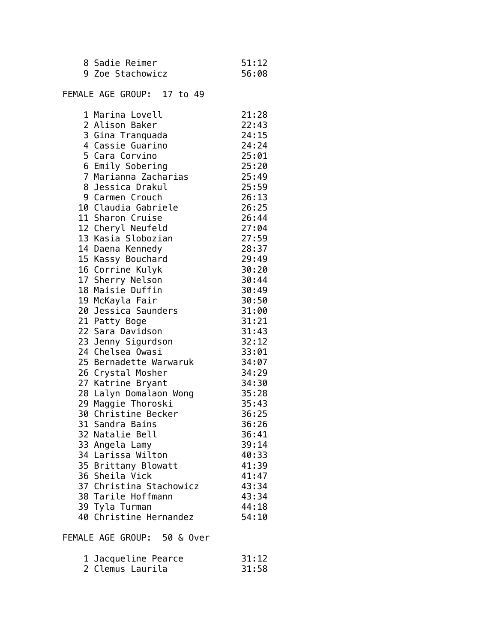| 8 Sadie Reimer   | 51:12 |
|------------------|-------|
| 9 Zoe Stachowicz | 56:08 |

## FEMALE AGE GROUP: 17 to 49

| 1 Marina Lovell                        | 21:28 |
|----------------------------------------|-------|
| 2 Alison Baker                         | 22:43 |
| 3 Gina Tranquada                       | 24:15 |
| 4 Cassie Guarino                       | 24:24 |
| 5 Cara Corvino                         | 25:01 |
| 6 Emily Sobering                       | 25:20 |
| 7 Marianna Zacharias                   | 25:49 |
| 8 Jessica Drakul                       | 25:59 |
| 9 Carmen Crouch                        | 26:13 |
| 10 Claudia Gabriele                    | 26:25 |
| 11 Sharon Cruise                       | 26:44 |
| 12 Cheryl Neufeld                      | 27:04 |
| 13 Kasia Slobozian                     | 27:59 |
| 14 Daena Kennedy                       | 28:37 |
| 15 Kassy Bouchard                      | 29:49 |
| 16 Corrine Kulyk                       | 30:20 |
| 17 Sherry Nelson                       | 30:44 |
| 18 Maisie Duffin                       | 30:49 |
| 19 McKayla Fair                        | 30:50 |
| 20 Jessica Saunders                    | 31:00 |
| 21 Patty Boge                          | 31:21 |
| 22 Sara Davidson                       | 31:43 |
| 22 Sara Sarasson<br>23 Jenny Sigurdson | 32:12 |
| 24 Chelsea Owasi                       | 33:01 |
| 25 Bernadette Warwaruk                 | 34:07 |
| 26 Crystal Mosher                      | 34:29 |
| 27 Katrine Bryant                      | 34:30 |
| 28 Lalyn Domalaon Wong                 | 35:28 |
| 29 Maggie Thoroski                     | 35:43 |
| 30 Christine Becker                    | 36:25 |
| 31 Sandra Bains                        | 36:26 |
| 32 Natalie Bell                        | 36:41 |
| 33 Angela Lamy                         | 39:14 |
| 34 Larissa Wilton                      | 40:33 |
| 35 Brittany Blowatt                    | 41:39 |
| 36 Sheila Vick                         | 41:47 |
| 37 Christina Stachowicz                | 43:34 |
| 38 Tarile Hoffmann                     | 43:34 |
| 39 Tyla Turman                         | 44:18 |
| 40 Christine Hernandez                 | 54:10 |

FEMALE AGE GROUP: 50 & Over

| 1 Jacqueline Pearce | 31:12 |
|---------------------|-------|
| 2 Clemus Laurila    | 31:58 |